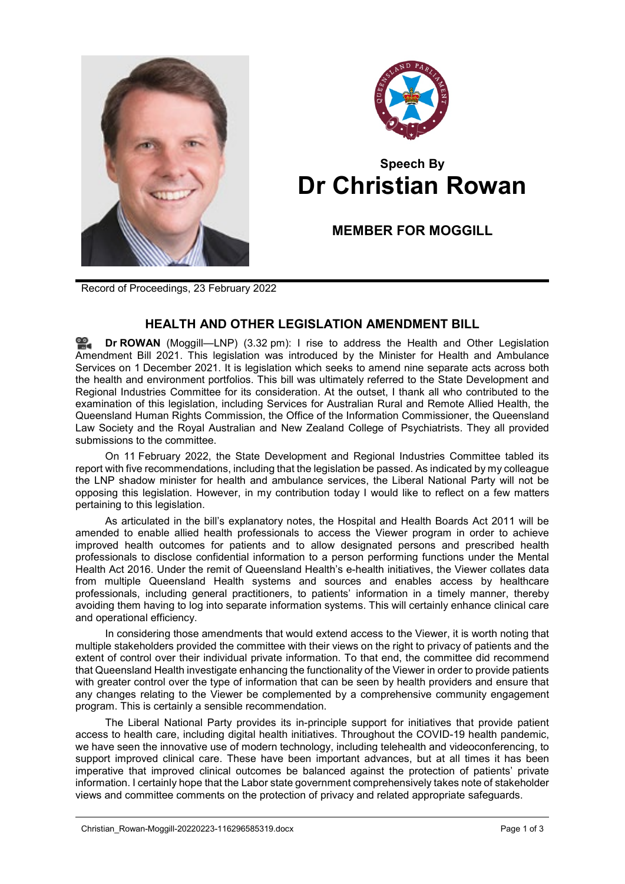



## **Speech By Dr Christian Rowan**

**MEMBER FOR MOGGILL**

Record of Proceedings, 23 February 2022

## **HEALTH AND OTHER LEGISLATION AMENDMENT BILL**

**Dr [ROWAN](http://www.parliament.qld.gov.au/docs/find.aspx?id=0Mba20220223_153211)** (Moggill—LNP) (3.32 pm): I rise to address the Health and Other Legislation Amendment Bill 2021. This legislation was introduced by the Minister for Health and Ambulance Services on 1 December 2021. It is legislation which seeks to amend nine separate acts across both the health and environment portfolios. This bill was ultimately referred to the State Development and Regional Industries Committee for its consideration. At the outset, I thank all who contributed to the examination of this legislation, including Services for Australian Rural and Remote Allied Health, the Queensland Human Rights Commission, the Office of the Information Commissioner, the Queensland Law Society and the Royal Australian and New Zealand College of Psychiatrists. They all provided submissions to the committee.

On 11 February 2022, the State Development and Regional Industries Committee tabled its report with five recommendations, including that the legislation be passed. As indicated by my colleague the LNP shadow minister for health and ambulance services, the Liberal National Party will not be opposing this legislation. However, in my contribution today I would like to reflect on a few matters pertaining to this legislation.

As articulated in the bill's explanatory notes, the Hospital and Health Boards Act 2011 will be amended to enable allied health professionals to access the Viewer program in order to achieve improved health outcomes for patients and to allow designated persons and prescribed health professionals to disclose confidential information to a person performing functions under the Mental Health Act 2016. Under the remit of Queensland Health's e-health initiatives, the Viewer collates data from multiple Queensland Health systems and sources and enables access by healthcare professionals, including general practitioners, to patients' information in a timely manner, thereby avoiding them having to log into separate information systems. This will certainly enhance clinical care and operational efficiency.

In considering those amendments that would extend access to the Viewer, it is worth noting that multiple stakeholders provided the committee with their views on the right to privacy of patients and the extent of control over their individual private information. To that end, the committee did recommend that Queensland Health investigate enhancing the functionality of the Viewer in order to provide patients with greater control over the type of information that can be seen by health providers and ensure that any changes relating to the Viewer be complemented by a comprehensive community engagement program. This is certainly a sensible recommendation.

The Liberal National Party provides its in-principle support for initiatives that provide patient access to health care, including digital health initiatives. Throughout the COVID-19 health pandemic, we have seen the innovative use of modern technology, including telehealth and videoconferencing, to support improved clinical care. These have been important advances, but at all times it has been imperative that improved clinical outcomes be balanced against the protection of patients' private information. I certainly hope that the Labor state government comprehensively takes note of stakeholder views and committee comments on the protection of privacy and related appropriate safeguards.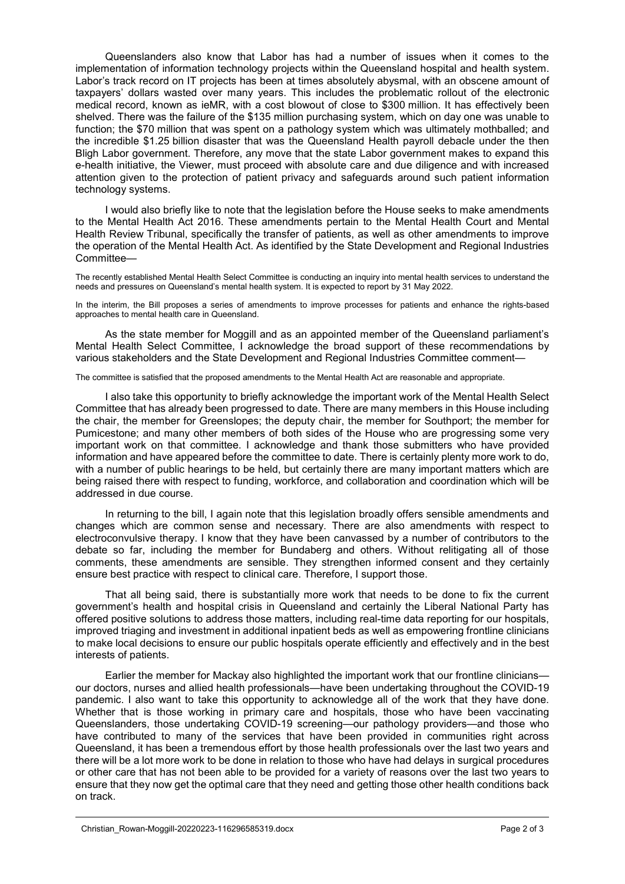Queenslanders also know that Labor has had a number of issues when it comes to the implementation of information technology projects within the Queensland hospital and health system. Labor's track record on IT projects has been at times absolutely abysmal, with an obscene amount of taxpayers' dollars wasted over many years. This includes the problematic rollout of the electronic medical record, known as ieMR, with a cost blowout of close to \$300 million. It has effectively been shelved. There was the failure of the \$135 million purchasing system, which on day one was unable to function; the \$70 million that was spent on a pathology system which was ultimately mothballed; and the incredible \$1.25 billion disaster that was the Queensland Health payroll debacle under the then Bligh Labor government. Therefore, any move that the state Labor government makes to expand this e-health initiative, the Viewer, must proceed with absolute care and due diligence and with increased attention given to the protection of patient privacy and safeguards around such patient information technology systems.

I would also briefly like to note that the legislation before the House seeks to make amendments to the Mental Health Act 2016. These amendments pertain to the Mental Health Court and Mental Health Review Tribunal, specifically the transfer of patients, as well as other amendments to improve the operation of the Mental Health Act. As identified by the State Development and Regional Industries Committee—

The recently established Mental Health Select Committee is conducting an inquiry into mental health services to understand the needs and pressures on Queensland's mental health system. It is expected to report by 31 May 2022.

In the interim, the Bill proposes a series of amendments to improve processes for patients and enhance the rights-based approaches to mental health care in Queensland.

As the state member for Moggill and as an appointed member of the Queensland parliament's Mental Health Select Committee, I acknowledge the broad support of these recommendations by various stakeholders and the State Development and Regional Industries Committee comment—

The committee is satisfied that the proposed amendments to the Mental Health Act are reasonable and appropriate.

I also take this opportunity to briefly acknowledge the important work of the Mental Health Select Committee that has already been progressed to date. There are many members in this House including the chair, the member for Greenslopes; the deputy chair, the member for Southport; the member for Pumicestone; and many other members of both sides of the House who are progressing some very important work on that committee. I acknowledge and thank those submitters who have provided information and have appeared before the committee to date. There is certainly plenty more work to do, with a number of public hearings to be held, but certainly there are many important matters which are being raised there with respect to funding, workforce, and collaboration and coordination which will be addressed in due course.

In returning to the bill, I again note that this legislation broadly offers sensible amendments and changes which are common sense and necessary. There are also amendments with respect to electroconvulsive therapy. I know that they have been canvassed by a number of contributors to the debate so far, including the member for Bundaberg and others. Without relitigating all of those comments, these amendments are sensible. They strengthen informed consent and they certainly ensure best practice with respect to clinical care. Therefore, I support those.

That all being said, there is substantially more work that needs to be done to fix the current government's health and hospital crisis in Queensland and certainly the Liberal National Party has offered positive solutions to address those matters, including real-time data reporting for our hospitals, improved triaging and investment in additional inpatient beds as well as empowering frontline clinicians to make local decisions to ensure our public hospitals operate efficiently and effectively and in the best interests of patients.

Earlier the member for Mackay also highlighted the important work that our frontline clinicians our doctors, nurses and allied health professionals—have been undertaking throughout the COVID-19 pandemic. I also want to take this opportunity to acknowledge all of the work that they have done. Whether that is those working in primary care and hospitals, those who have been vaccinating Queenslanders, those undertaking COVID-19 screening—our pathology providers—and those who have contributed to many of the services that have been provided in communities right across Queensland, it has been a tremendous effort by those health professionals over the last two years and there will be a lot more work to be done in relation to those who have had delays in surgical procedures or other care that has not been able to be provided for a variety of reasons over the last two years to ensure that they now get the optimal care that they need and getting those other health conditions back on track.